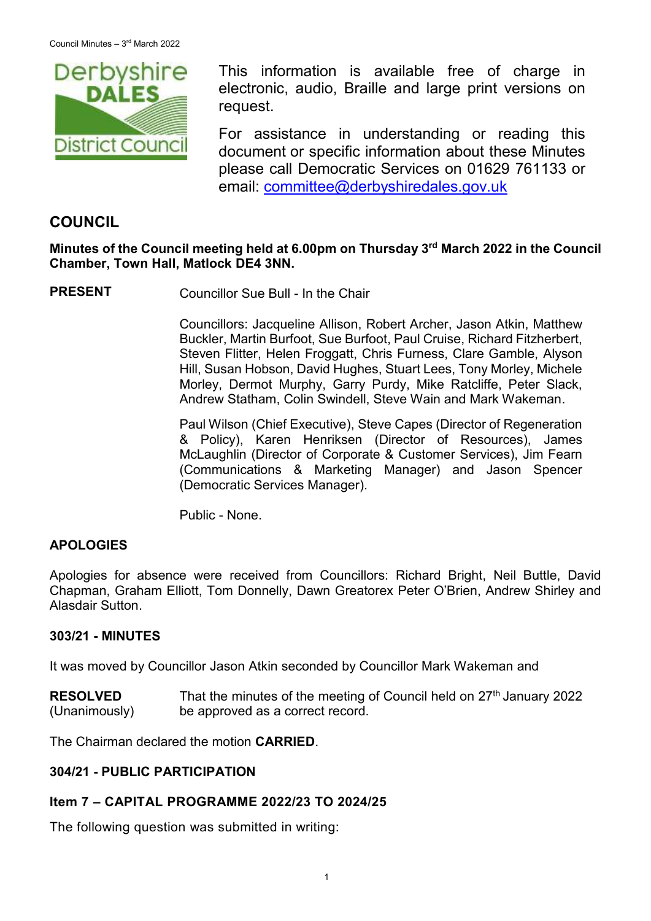

This information is available free of charge in electronic, audio, Braille and large print versions on request.

For assistance in understanding or reading this document or specific information about these Minutes please call Democratic Services on 01629 761133 or email: [committee@derbyshiredales.gov.uk](mailto:brian.evans@derbyshiredales.gov.uk)

# **COUNCIL**

## **Minutes of the Council meeting held at 6.00pm on Thursday 3 rd March 2022 in the Council Chamber, Town Hall, Matlock DE4 3NN.**

**PRESENT** Councillor Sue Bull - In the Chair

Councillors: Jacqueline Allison, Robert Archer, Jason Atkin, Matthew Buckler, Martin Burfoot, Sue Burfoot, Paul Cruise, Richard Fitzherbert, Steven Flitter, Helen Froggatt, Chris Furness, Clare Gamble, Alyson Hill, Susan Hobson, David Hughes, Stuart Lees, Tony Morley, Michele Morley, Dermot Murphy, Garry Purdy, Mike Ratcliffe, Peter Slack, Andrew Statham, Colin Swindell, Steve Wain and Mark Wakeman.

Paul Wilson (Chief Executive), Steve Capes (Director of Regeneration & Policy), Karen Henriksen (Director of Resources), James McLaughlin (Director of Corporate & Customer Services), Jim Fearn (Communications & Marketing Manager) and Jason Spencer (Democratic Services Manager).

Public - None.

# **APOLOGIES**

Apologies for absence were received from Councillors: Richard Bright, Neil Buttle, David Chapman, Graham Elliott, Tom Donnelly, Dawn Greatorex Peter O'Brien, Andrew Shirley and Alasdair Sutton.

### **303/21 - MINUTES**

It was moved by Councillor Jason Atkin seconded by Councillor Mark Wakeman and

**RESOLVED** (Unanimously) That the minutes of the meeting of Council held on  $27<sup>th</sup>$  January 2022 be approved as a correct record.

The Chairman declared the motion **CARRIED**.

### **304/21 - PUBLIC PARTICIPATION**

### **Item 7 – CAPITAL PROGRAMME 2022/23 TO 2024/25**

The following question was submitted in writing: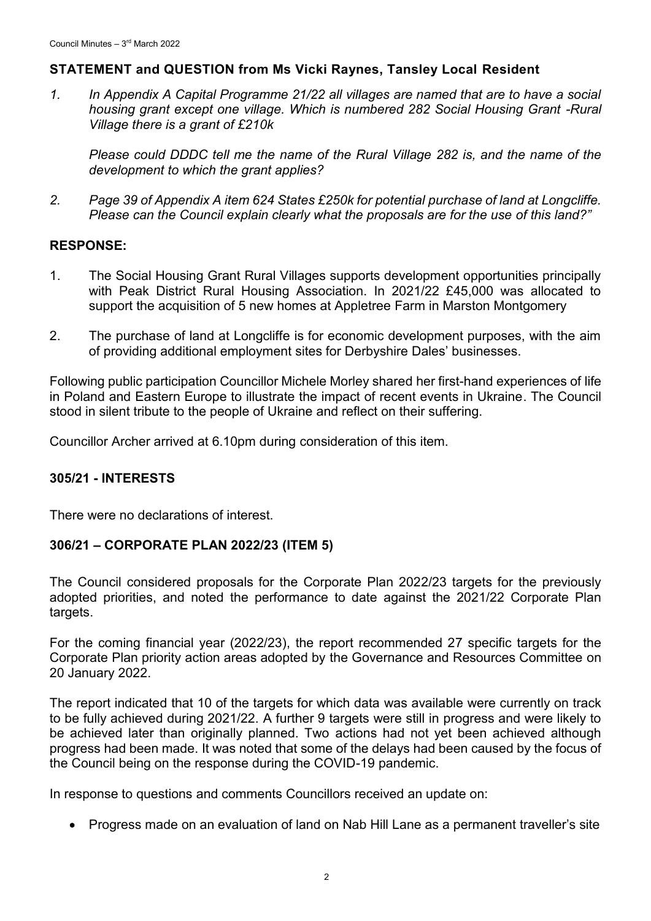# **STATEMENT and QUESTION from Ms Vicki Raynes, Tansley Local Resident**

*1. In Appendix A Capital Programme 21/22 all villages are named that are to have a social housing grant except one village. Which is numbered 282 Social Housing Grant -Rural Village there is a grant of £210k*

*Please could DDDC tell me the name of the Rural Village 282 is, and the name of the development to which the grant applies?*

*2. Page 39 of Appendix A item 624 States £250k for potential purchase of land at Longcliffe. Please can the Council explain clearly what the proposals are for the use of this land?"*

## **RESPONSE:**

- 1. The Social Housing Grant Rural Villages supports development opportunities principally with Peak District Rural Housing Association. In 2021/22 £45,000 was allocated to support the acquisition of 5 new homes at Appletree Farm in Marston Montgomery
- 2. The purchase of land at Longcliffe is for economic development purposes, with the aim of providing additional employment sites for Derbyshire Dales' businesses.

Following public participation Councillor Michele Morley shared her first-hand experiences of life in Poland and Eastern Europe to illustrate the impact of recent events in Ukraine. The Council stood in silent tribute to the people of Ukraine and reflect on their suffering.

Councillor Archer arrived at 6.10pm during consideration of this item.

### **305/21 - INTERESTS**

There were no declarations of interest.

### **306/21 – CORPORATE PLAN 2022/23 (ITEM 5)**

The Council considered proposals for the Corporate Plan 2022/23 targets for the previously adopted priorities, and noted the performance to date against the 2021/22 Corporate Plan targets.

For the coming financial year (2022/23), the report recommended 27 specific targets for the Corporate Plan priority action areas adopted by the Governance and Resources Committee on 20 January 2022.

The report indicated that 10 of the targets for which data was available were currently on track to be fully achieved during 2021/22. A further 9 targets were still in progress and were likely to be achieved later than originally planned. Two actions had not yet been achieved although progress had been made. It was noted that some of the delays had been caused by the focus of the Council being on the response during the COVID-19 pandemic.

In response to questions and comments Councillors received an update on:

• Progress made on an evaluation of land on Nab Hill Lane as a permanent traveller's site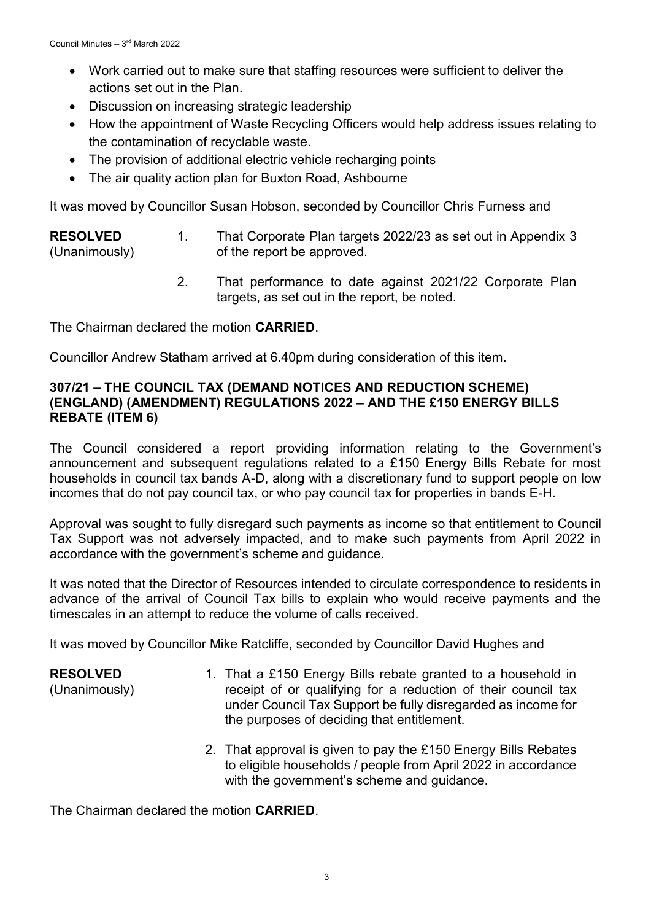- Work carried out to make sure that staffing resources were sufficient to deliver the actions set out in the Plan.
- Discussion on increasing strategic leadership
- How the appointment of Waste Recycling Officers would help address issues relating to the contamination of recyclable waste.
- The provision of additional electric vehicle recharging points
- The air quality action plan for Buxton Road, Ashbourne

It was moved by Councillor Susan Hobson, seconded by Councillor Chris Furness and

#### **RESOLVED** (Unanimously) 1. That Corporate Plan targets 2022/23 as set out in Appendix 3 of the report be approved.

2. That performance to date against 2021/22 Corporate Plan targets, as set out in the report, be noted.

The Chairman declared the motion **CARRIED**.

Councillor Andrew Statham arrived at 6.40pm during consideration of this item.

### **307/21 – THE COUNCIL TAX (DEMAND NOTICES AND REDUCTION SCHEME) (ENGLAND) (AMENDMENT) REGULATIONS 2022 – AND THE £150 ENERGY BILLS REBATE (ITEM 6)**

The Council considered a report providing information relating to the Government's announcement and subsequent regulations related to a £150 Energy Bills Rebate for most households in council tax bands A-D, along with a discretionary fund to support people on low incomes that do not pay council tax, or who pay council tax for properties in bands E-H.

Approval was sought to fully disregard such payments as income so that entitlement to Council Tax Support was not adversely impacted, and to make such payments from April 2022 in accordance with the government's scheme and guidance.

It was noted that the Director of Resources intended to circulate correspondence to residents in advance of the arrival of Council Tax bills to explain who would receive payments and the timescales in an attempt to reduce the volume of calls received.

It was moved by Councillor Mike Ratcliffe, seconded by Councillor David Hughes and

**RESOLVED** (Unanimously) 1. That a £150 Energy Bills rebate granted to a household in receipt of or qualifying for a reduction of their council tax under Council Tax Support be fully disregarded as income for the purposes of deciding that entitlement.

> 2. That approval is given to pay the £150 Energy Bills Rebates to eligible households / people from April 2022 in accordance with the government's scheme and guidance.

The Chairman declared the motion **CARRIED**.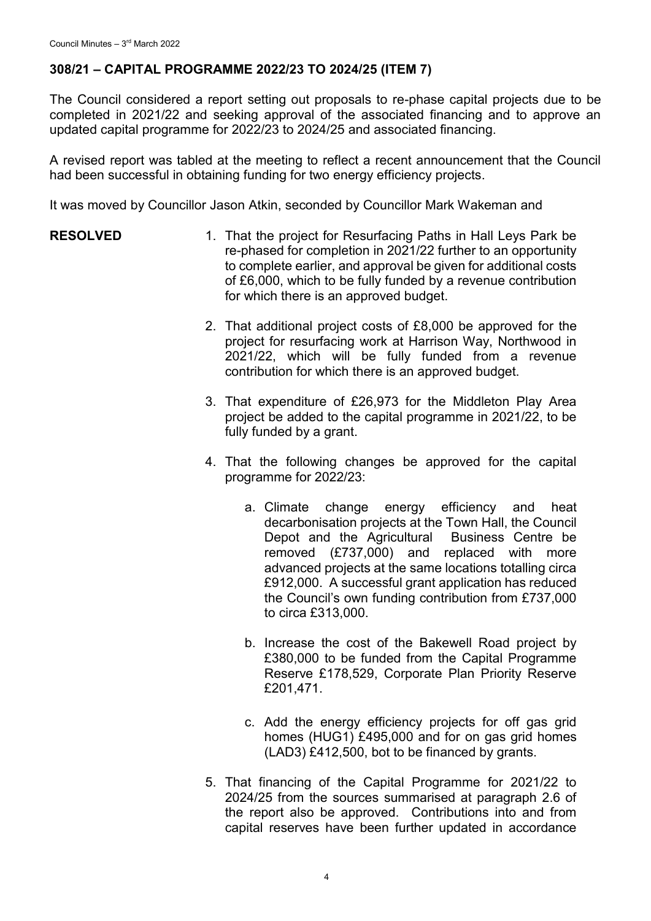# **308/21 – CAPITAL PROGRAMME 2022/23 TO 2024/25 (ITEM 7)**

The Council considered a report setting out proposals to re-phase capital projects due to be completed in 2021/22 and seeking approval of the associated financing and to approve an updated capital programme for 2022/23 to 2024/25 and associated financing.

A revised report was tabled at the meeting to reflect a recent announcement that the Council had been successful in obtaining funding for two energy efficiency projects.

It was moved by Councillor Jason Atkin, seconded by Councillor Mark Wakeman and

- **RESOLVED** 1. That the project for Resurfacing Paths in Hall Levs Park be re-phased for completion in 2021/22 further to an opportunity to complete earlier, and approval be given for additional costs of £6,000, which to be fully funded by a revenue contribution for which there is an approved budget.
	- 2. That additional project costs of £8,000 be approved for the project for resurfacing work at Harrison Way, Northwood in 2021/22, which will be fully funded from a revenue contribution for which there is an approved budget.
	- 3. That expenditure of £26,973 for the Middleton Play Area project be added to the capital programme in 2021/22, to be fully funded by a grant.
	- 4. That the following changes be approved for the capital programme for 2022/23:
		- a. Climate change energy efficiency and heat decarbonisation projects at the Town Hall, the Council Depot and the Agricultural Business Centre be removed (£737,000) and replaced with more advanced projects at the same locations totalling circa £912,000. A successful grant application has reduced the Council's own funding contribution from £737,000 to circa £313,000.
		- b. Increase the cost of the Bakewell Road project by £380,000 to be funded from the Capital Programme Reserve £178,529, Corporate Plan Priority Reserve £201,471.
		- c. Add the energy efficiency projects for off gas grid homes (HUG1) £495,000 and for on gas grid homes (LAD3) £412,500, bot to be financed by grants.
	- 5. That financing of the Capital Programme for 2021/22 to 2024/25 from the sources summarised at paragraph 2.6 of the report also be approved. Contributions into and from capital reserves have been further updated in accordance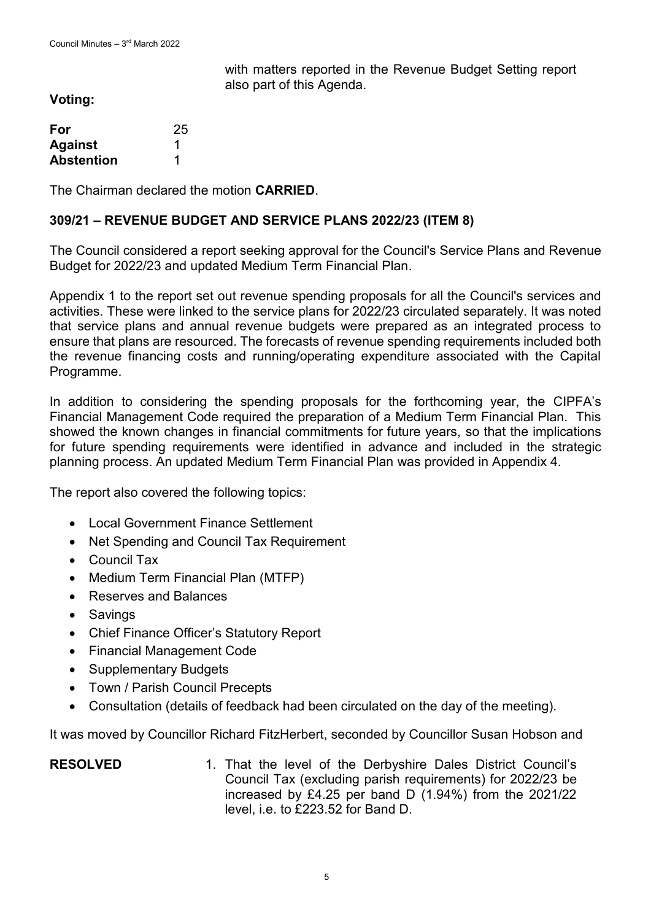with matters reported in the Revenue Budget Setting report also part of this Agenda.

**Voting:**

| For               | 25 |
|-------------------|----|
| <b>Against</b>    |    |
| <b>Abstention</b> |    |

The Chairman declared the motion **CARRIED**.

### **309/21 – REVENUE BUDGET AND SERVICE PLANS 2022/23 (ITEM 8)**

The Council considered a report seeking approval for the Council's Service Plans and Revenue Budget for 2022/23 and updated Medium Term Financial Plan.

Appendix 1 to the report set out revenue spending proposals for all the Council's services and activities. These were linked to the service plans for 2022/23 circulated separately. It was noted that service plans and annual revenue budgets were prepared as an integrated process to ensure that plans are resourced. The forecasts of revenue spending requirements included both the revenue financing costs and running/operating expenditure associated with the Capital Programme.

In addition to considering the spending proposals for the forthcoming year, the CIPFA's Financial Management Code required the preparation of a Medium Term Financial Plan. This showed the known changes in financial commitments for future years, so that the implications for future spending requirements were identified in advance and included in the strategic planning process. An updated Medium Term Financial Plan was provided in Appendix 4.

The report also covered the following topics:

- Local Government Finance Settlement
- Net Spending and Council Tax Requirement
- Council Tax
- Medium Term Financial Plan (MTFP)
- Reserves and Balances
- Savings
- Chief Finance Officer's Statutory Report
- Financial Management Code
- Supplementary Budgets
- Town / Parish Council Precepts
- Consultation (details of feedback had been circulated on the day of the meeting).

It was moved by Councillor Richard FitzHerbert, seconded by Councillor Susan Hobson and

### **RESOLVED** 1. That the level of the Derbyshire Dales District Council's Council Tax (excluding parish requirements) for 2022/23 be increased by £4.25 per band D (1.94%) from the 2021/22 level, i.e. to £223.52 for Band D.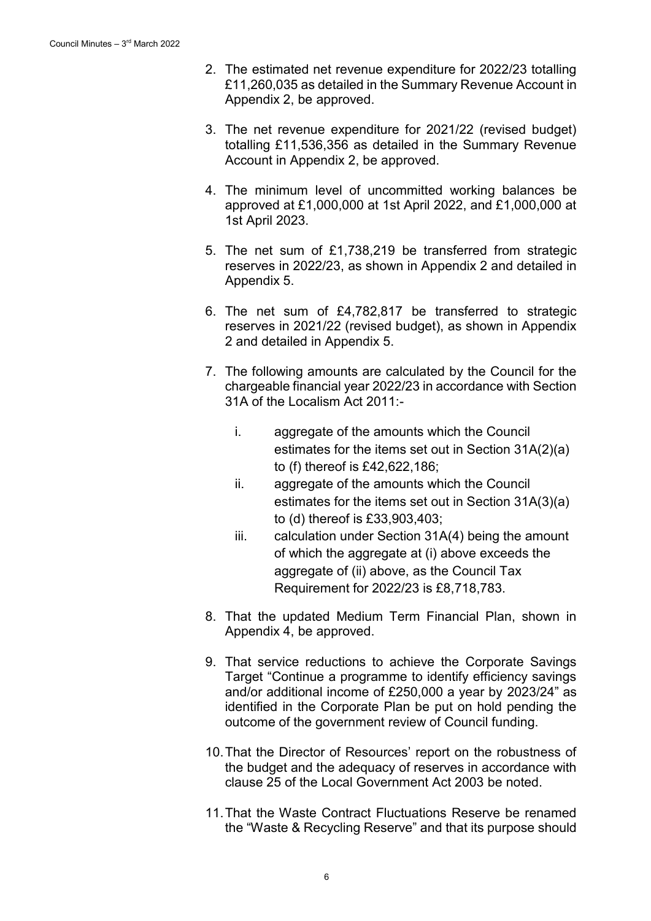- 2. The estimated net revenue expenditure for 2022/23 totalling £11,260,035 as detailed in the Summary Revenue Account in Appendix 2, be approved.
- 3. The net revenue expenditure for 2021/22 (revised budget) totalling £11,536,356 as detailed in the Summary Revenue Account in Appendix 2, be approved.
- 4. The minimum level of uncommitted working balances be approved at £1,000,000 at 1st April 2022, and £1,000,000 at 1st April 2023.
- 5. The net sum of £1,738,219 be transferred from strategic reserves in 2022/23, as shown in Appendix 2 and detailed in Appendix 5.
- 6. The net sum of £4,782,817 be transferred to strategic reserves in 2021/22 (revised budget), as shown in Appendix 2 and detailed in Appendix 5.
- 7. The following amounts are calculated by the Council for the chargeable financial year 2022/23 in accordance with Section 31A of the Localism Act 2011:
	- i. aggregate of the amounts which the Council estimates for the items set out in Section 31A(2)(a) to (f) thereof is £42,622,186;
	- ii. aggregate of the amounts which the Council estimates for the items set out in Section 31A(3)(a) to (d) thereof is £33,903,403;
	- iii. calculation under Section 31A(4) being the amount of which the aggregate at (i) above exceeds the aggregate of (ii) above, as the Council Tax Requirement for 2022/23 is £8,718,783.
- 8. That the updated Medium Term Financial Plan, shown in Appendix 4, be approved.
- 9. That service reductions to achieve the Corporate Savings Target "Continue a programme to identify efficiency savings and/or additional income of £250,000 a year by 2023/24" as identified in the Corporate Plan be put on hold pending the outcome of the government review of Council funding.
- 10.That the Director of Resources' report on the robustness of the budget and the adequacy of reserves in accordance with clause 25 of the Local Government Act 2003 be noted.
- 11.That the Waste Contract Fluctuations Reserve be renamed the "Waste & Recycling Reserve" and that its purpose should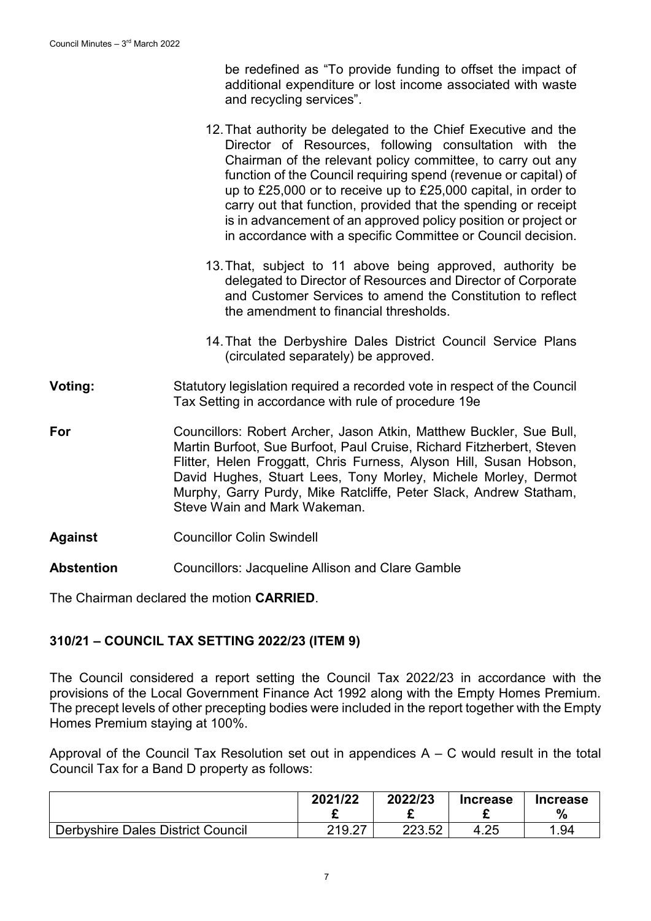be redefined as "To provide funding to offset the impact of additional expenditure or lost income associated with waste and recycling services".

- 12.That authority be delegated to the Chief Executive and the Director of Resources, following consultation with the Chairman of the relevant policy committee, to carry out any function of the Council requiring spend (revenue or capital) of up to £25,000 or to receive up to £25,000 capital, in order to carry out that function, provided that the spending or receipt is in advancement of an approved policy position or project or in accordance with a specific Committee or Council decision.
- 13.That, subject to 11 above being approved, authority be delegated to Director of Resources and Director of Corporate and Customer Services to amend the Constitution to reflect the amendment to financial thresholds.
- 14.That the Derbyshire Dales District Council Service Plans (circulated separately) be approved.
- **Voting:** Statutory legislation required a recorded vote in respect of the Council Tax Setting in accordance with rule of procedure 19e
- **For** Councillors: Robert Archer, Jason Atkin, Matthew Buckler, Sue Bull, Martin Burfoot, Sue Burfoot, Paul Cruise, Richard Fitzherbert, Steven Flitter, Helen Froggatt, Chris Furness, Alyson Hill, Susan Hobson, David Hughes, Stuart Lees, Tony Morley, Michele Morley, Dermot Murphy, Garry Purdy, Mike Ratcliffe, Peter Slack, Andrew Statham, Steve Wain and Mark Wakeman.
- **Against** Councillor Colin Swindell
- **Abstention** Councillors: Jacqueline Allison and Clare Gamble

The Chairman declared the motion **CARRIED**.

### **310/21 – COUNCIL TAX SETTING 2022/23 (ITEM 9)**

The Council considered a report setting the Council Tax 2022/23 in accordance with the provisions of the Local Government Finance Act 1992 along with the Empty Homes Premium. The precept levels of other precepting bodies were included in the report together with the Empty Homes Premium staying at 100%.

Approval of the Council Tax Resolution set out in appendices  $A - C$  would result in the total Council Tax for a Band D property as follows:

|                                          | 2021/22 | 2022/23 | <b>Increase</b> | <b>Increase</b><br>% |
|------------------------------------------|---------|---------|-----------------|----------------------|
| <b>Derbyshire Dales District Council</b> | 219.27  | つつつ よつ  | 4.25            | 1.94                 |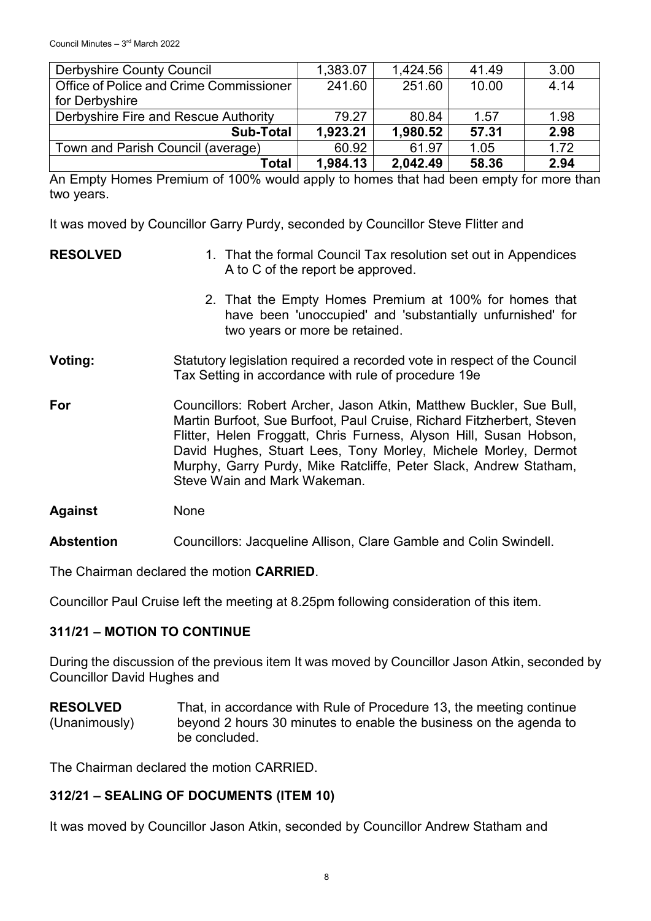| <b>Derbyshire County Council</b>        | 1,383.07 | 1,424.56 | 41.49 | 3.00 |
|-----------------------------------------|----------|----------|-------|------|
| Office of Police and Crime Commissioner | 241.60   | 251.60   | 10.00 | 4.14 |
| for Derbyshire                          |          |          |       |      |
| Derbyshire Fire and Rescue Authority    | 79.27    | 80.84    | 1.57  | 1.98 |
| <b>Sub-Total</b>                        | 1,923.21 | 1,980.52 | 57.31 | 2.98 |
| Town and Parish Council (average)       | 60.92    | 61.97    | 1.05  | 1.72 |
| Total                                   | 1,984.13 | 2,042.49 | 58.36 | 2.94 |

An Empty Homes Premium of 100% would apply to homes that had been empty for more than two years.

It was moved by Councillor Garry Purdy, seconded by Councillor Steve Flitter and

| <b>RESOLVED</b> | 1. That the formal Council Tax resolution set out in Appendices<br>A to C of the report be approved.                                                                                                                                                                                                                                                                                      |  |
|-----------------|-------------------------------------------------------------------------------------------------------------------------------------------------------------------------------------------------------------------------------------------------------------------------------------------------------------------------------------------------------------------------------------------|--|
|                 | 2. That the Empty Homes Premium at 100% for homes that<br>have been 'unoccupied' and 'substantially unfurnished' for<br>two years or more be retained.                                                                                                                                                                                                                                    |  |
| Voting:         | Statutory legislation required a recorded vote in respect of the Council<br>Tax Setting in accordance with rule of procedure 19e                                                                                                                                                                                                                                                          |  |
| For             | Councillors: Robert Archer, Jason Atkin, Matthew Buckler, Sue Bull,<br>Martin Burfoot, Sue Burfoot, Paul Cruise, Richard Fitzherbert, Steven<br>Flitter, Helen Froggatt, Chris Furness, Alyson Hill, Susan Hobson,<br>David Hughes, Stuart Lees, Tony Morley, Michele Morley, Dermot<br>Murphy, Garry Purdy, Mike Ratcliffe, Peter Slack, Andrew Statham,<br>Steve Wain and Mark Wakeman. |  |
| <b>Against</b>  | None                                                                                                                                                                                                                                                                                                                                                                                      |  |

**Abstention** Councillors: Jacqueline Allison, Clare Gamble and Colin Swindell.

The Chairman declared the motion **CARRIED**.

Councillor Paul Cruise left the meeting at 8.25pm following consideration of this item.

# **311/21 – MOTION TO CONTINUE**

During the discussion of the previous item It was moved by Councillor Jason Atkin, seconded by Councillor David Hughes and

**RESOLVED** (Unanimously) That, in accordance with Rule of Procedure 13, the meeting continue beyond 2 hours 30 minutes to enable the business on the agenda to be concluded.

The Chairman declared the motion CARRIED.

# **312/21 – SEALING OF DOCUMENTS (ITEM 10)**

It was moved by Councillor Jason Atkin, seconded by Councillor Andrew Statham and